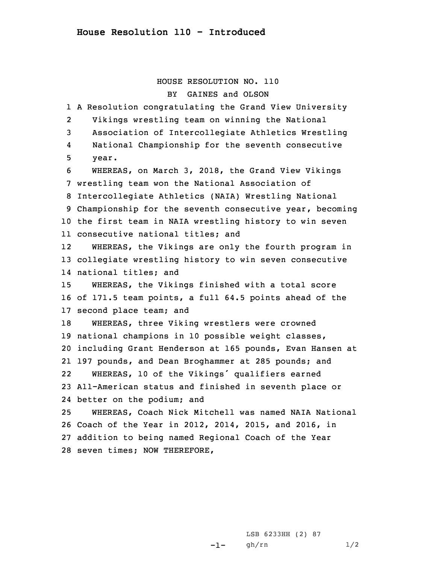## HOUSE RESOLUTION NO. 110 BY GAINES and OLSON

 <sup>A</sup> Resolution congratulating the Grand View University 2 Vikings wrestling team on winning the National Association of Intercollegiate Athletics Wrestling 4 National Championship for the seventh consecutive 5 year. WHEREAS, on March 3, 2018, the Grand View Vikings wrestling team won the National Association of Intercollegiate Athletics (NAIA) Wrestling National Championship for the seventh consecutive year, becoming the first team in NAIA wrestling history to win seven consecutive national titles; and 12 WHEREAS, the Vikings are only the fourth program in collegiate wrestling history to win seven consecutive national titles; and WHEREAS, the Vikings finished with <sup>a</sup> total score of 171.5 team points, <sup>a</sup> full 64.5 points ahead of the second place team; and WHEREAS, three Viking wrestlers were crowned national champions in 10 possible weight classes, including Grant Henderson at 165 pounds, Evan Hansen at 197 pounds, and Dean Broghammer at 285 pounds; and 22 WHEREAS, <sup>10</sup> of the Vikings' qualifiers earned All-American status and finished in seventh place or better on the podium; and WHEREAS, Coach Nick Mitchell was named NAIA National Coach of the Year in 2012, 2014, 2015, and 2016, in addition to being named Regional Coach of the Year seven times; NOW THEREFORE,

> -1-LSB 6233HH (2) 87 gh/rn 1/2